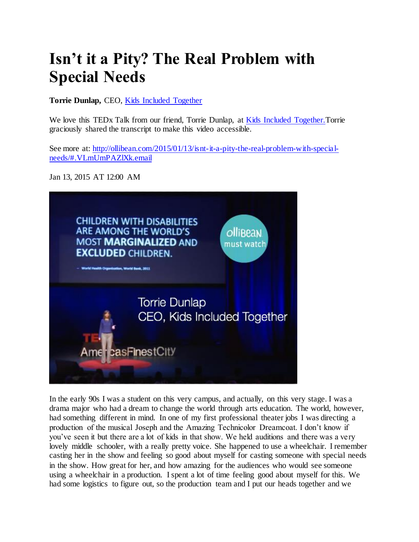## **Isn't it a Pity? The Real Problem with Special Needs**

**Torrie Dunlap,** CEO, [Kids Included Together](http://www.kitonline.org/) 

We love this TEDx Talk from our friend, Torrie Dunlap, at [Kids Included Together.T](http://ollibean.com/2012/03/05/kit-kids-included-together-recognizing-the-ability-in-every-child/)orrie graciously shared the transcript to make this video accessible.

See more at: [http://ollibean.com/2015/01/13/isnt-it-a-pity-the-real-problem-with-special](http://ollibean.com/2015/01/13/isnt-it-a-pity-the-real-problem-with-special-needs/#.VLmUmPAZlXk.email)[needs/#.VLmUmPAZlXk.email](http://ollibean.com/2015/01/13/isnt-it-a-pity-the-real-problem-with-special-needs/#.VLmUmPAZlXk.email)

Jan 13, 2015 AT 12:00 AM



In the early 90s I was a student on this very campus, and actually, on this very stage. I was a drama major who had a dream to change the world through arts education. The world, however, had something different in mind. In one of my first professional theater jobs I was directing a production of the musical Joseph and the Amazing Technicolor Dreamcoat. I don't know if you've seen it but there are a lot of kids in that show. We held auditions and there was a very lovely middle schooler, with a really pretty voice. She happened to use a wheelchair. I remember casting her in the show and feeling so good about myself for casting someone with special needs in the show. How great for her, and how amazing for the audiences who would see someone using a wheelchair in a production. I spent a lot of time feeling good about myself for this. We had some logistics to figure out, so the production team and I put our heads together and we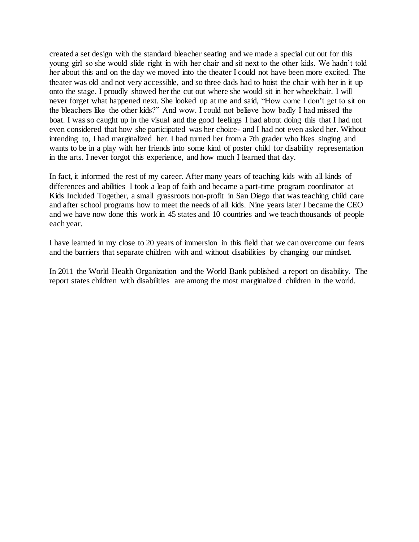created a set design with the standard bleacher seating and we made a special cut out for this young girl so she would slide right in with her chair and sit next to the other kids. We hadn't told her about this and on the day we moved into the theater I could not have been more excited. The theater was old and not very accessible, and so three dads had to hoist the chair with her in it up onto the stage. I proudly showed her the cut out where she would sit in her wheelchair. I will never forget what happened next. She looked up at me and said, "How come I don't get to sit on the bleachers like the other kids?" And wow. I could not believe how badly I had missed the boat. I was so caught up in the visual and the good feelings I had about doing this that I had not even considered that how she participated was her choice- and I had not even asked her. Without intending to, I had marginalized her. I had turned her from a 7th grader who likes singing and wants to be in a play with her friends into some kind of poster child for disability representation in the arts. I never forgot this experience, and how much I learned that day.

In fact, it informed the rest of my career. After many years of teaching kids with all kinds of differences and abilities I took a leap of faith and became a part-time program coordinator at Kids Included Together, a small grassroots non-profit in San Diego that was teaching child care and after school programs how to meet the needs of all kids. Nine years later I became the CEO and we have now done this work in 45 states and 10 countries and we teach thousands of people each year.

I have learned in my close to 20 years of immersion in this field that we can overcome our fears and the barriers that separate children with and without disabilities by changing our mindset.

In 2011 the World Health Organization and the World Bank published a report on disability. The report states children with disabilities are among the most marginalized children in the world.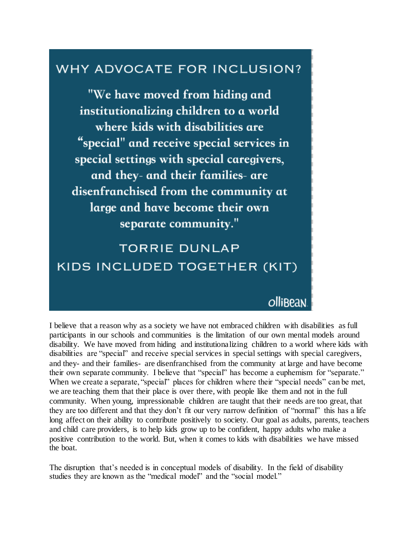## WHY ADVOCATE FOR INCLUSION?

"We have moved from hiding and institutionalizing children to a world where kids with disabilities are "special" and receive special services in special settings with special caregivers, and they- and their families- are disenfranchised from the community at large and have become their own separate community."

**TORRIE DUNLAP** KIDS INCLUDED TOGETHER (KIT)

## olli<sub>Bean</sub>

I believe that a reason why as a society we have not embraced children with disabilities as full participants in our schools and communities is the limitation of our own mental models around disability. We have moved from hiding and institutionalizing children to a world where kids with disabilities are "special" and receive special services in special settings with special caregivers, and they- and their families- are disenfranchised from the community at large and have become their own separate community. I believe that "special" has become a euphemism for "separate." When we create a separate, "special" places for children where their "special needs" can be met, we are teaching them that their place is over there, with people like them and not in the full community. When young, impressionable children are taught that their needs are too great, that they are too different and that they don't fit our very narrow definition of "normal" this has a life long affect on their ability to contribute positively to society. Our goal as adults, parents, teachers and child care providers, is to help kids grow up to be confident, happy adults who make a positive contribution to the world. But, when it comes to kids with disabilities we have missed the boat.

The disruption that's needed is in conceptual models of disability. In the field of disability studies they are known as the "medical model" and the "social model."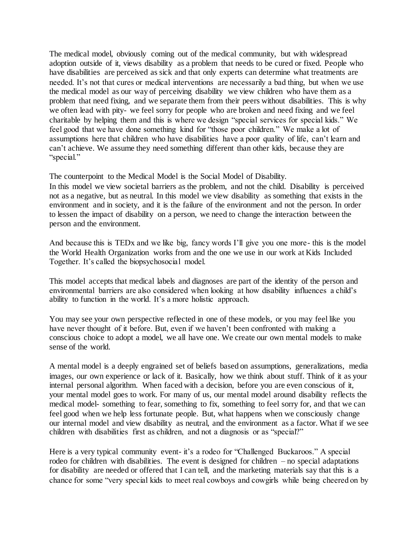The medical model, obviously coming out of the medical community, but with widespread adoption outside of it, views disability as a problem that needs to be cured or fixed. People who have disabilities are perceived as sick and that only experts can determine what treatments are needed. It's not that cures or medical interventions are necessarily a bad thing, but when we use the medical model as our way of perceiving disability we view children who have them as a problem that need fixing, and we separate them from their peers without disabilities. This is why we often lead with pity- we feel sorry for people who are broken and need fixing and we feel charitable by helping them and this is where we design "special services for special kids." We feel good that we have done something kind for "those poor children." We make a lot of assumptions here that children who have disabilities have a poor quality of life, can't learn and can't achieve. We assume they need something different than other kids, because they are "special."

The counterpoint to the Medical Model is the Social Model of Disability.

In this model we view societal barriers as the problem, and not the child. Disability is perceived not as a negative, but as neutral. In this model we view disability as something that exists in the environment and in society, and it is the failure of the environment and not the person. In order to lessen the impact of disability on a person, we need to change the interaction between the person and the environment.

And because this is TEDx and we like big, fancy words I'll give you one more- this is the model the World Health Organization works from and the one we use in our work at Kids Included Together. It's called the biopsychosocial model.

This model accepts that medical labels and diagnoses are part of the identity of the person and environmental barriers are also considered when looking at how disability influences a child's ability to function in the world. It's a more holistic approach.

You may see your own perspective reflected in one of these models, or you may feel like you have never thought of it before. But, even if we haven't been confronted with making a conscious choice to adopt a model, we all have one. We create our own mental models to make sense of the world.

A mental model is a deeply engrained set of beliefs based on assumptions, generalizations, media images, our own experience or lack of it. Basically, how we think about stuff. Think of it as your internal personal algorithm. When faced with a decision, before you are even conscious of it, your mental model goes to work. For many of us, our mental model around disability reflects the medical model- something to fear, something to fix, something to feel sorry for, and that we can feel good when we help less fortunate people. But, what happens when we consciously change our internal model and view disability as neutral, and the environment as a factor. What if we see children with disabilities first as children, and not a diagnosis or as "special?"

Here is a very typical community event- it's a rodeo for "Challenged Buckaroos." A special rodeo for children with disabilities. The event is designed for children – no special adaptations for disability are needed or offered that I can tell, and the marketing materials say that this is a chance for some "very special kids to meet real cowboys and cowgirls while being cheered on by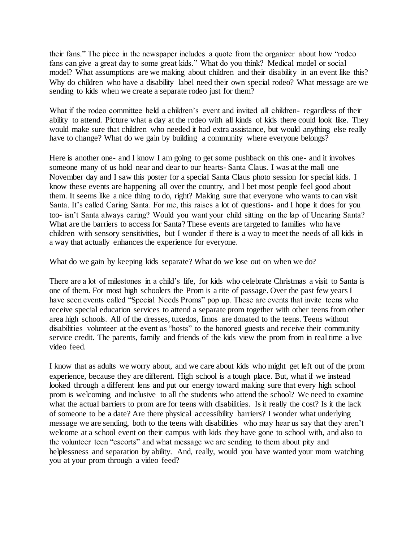their fans." The piece in the newspaper includes a quote from the organizer about how "rodeo fans can give a great day to some great kids." What do you think? Medical model or social model? What assumptions are we making about children and their disability in an event like this? Why do children who have a disability label need their own special rodeo? What message are we sending to kids when we create a separate rodeo just for them?

What if the rodeo committee held a children's event and invited all children- regardless of their ability to attend. Picture what a day at the rodeo with all kinds of kids there could look like. They would make sure that children who needed it had extra assistance, but would anything else really have to change? What do we gain by building a community where everyone belongs?

Here is another one- and I know I am going to get some pushback on this one- and it involves someone many of us hold near and dear to our hearts- Santa Claus. I was at the mall one November day and I saw this poster for a special Santa Claus photo session for special kids. I know these events are happening all over the country, and I bet most people feel good about them. It seems like a nice thing to do, right? Making sure that everyone who wants to can visit Santa. It's called Caring Santa. For me, this raises a lot of questions- and I hope it does for you too- isn't Santa always caring? Would you want your child sitting on the lap of Uncaring Santa? What are the barriers to access for Santa? These events are targeted to families who have children with sensory sensitivities, but I wonder if there is a way to meet the needs of all kids in a way that actually enhances the experience for everyone.

What do we gain by keeping kids separate? What do we lose out on when we do?

There are a lot of milestones in a child's life, for kids who celebrate Christmas a visit to Santa is one of them. For most high schoolers the Prom is a rite of passage. Over the past few years I have seen events called "Special Needs Proms" pop up. These are events that invite teens who receive special education services to attend a separate prom together with other teens from other area high schools. All of the dresses, tuxedos, limos are donated to the teens. Teens without disabilities volunteer at the event as "hosts" to the honored guests and receive their community service credit. The parents, family and friends of the kids view the prom from in real time a live video feed.

I know that as adults we worry about, and we care about kids who might get left out of the prom experience, because they are different. High school is a tough place. But, what if we instead looked through a different lens and put our energy toward making sure that every high school prom is welcoming and inclusive to all the students who attend the school? We need to examine what the actual barriers to prom are for teens with disabilities. Is it really the cost? Is it the lack of someone to be a date? Are there physical accessibility barriers? I wonder what underlying message we are sending, both to the teens with disabilities who may hear us say that they aren't welcome at a school event on their campus with kids they have gone to school with, and also to the volunteer teen "escorts" and what message we are sending to them about pity and helplessness and separation by ability. And, really, would you have wanted your mom watching you at your prom through a video feed?